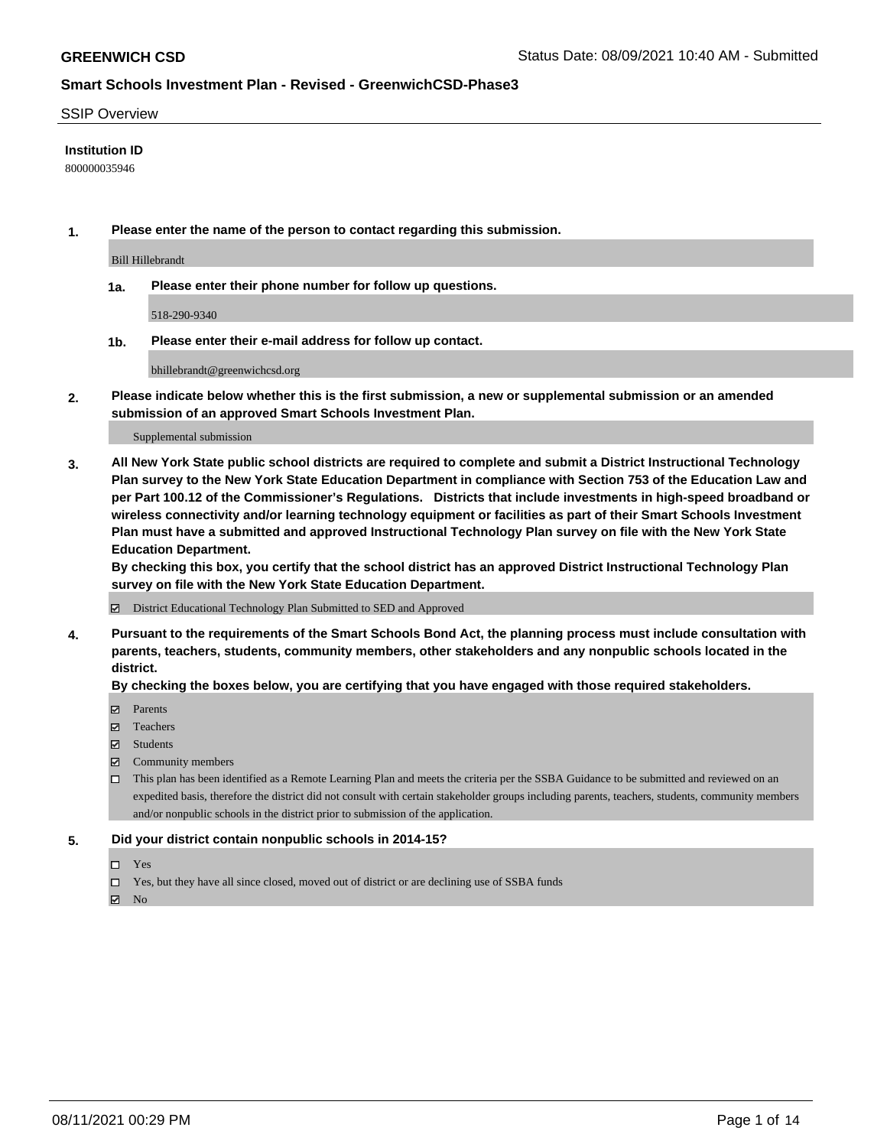#### SSIP Overview

### **Institution ID**

800000035946

**1. Please enter the name of the person to contact regarding this submission.**

Bill Hillebrandt

**1a. Please enter their phone number for follow up questions.**

518-290-9340

**1b. Please enter their e-mail address for follow up contact.**

bhillebrandt@greenwichcsd.org

**2. Please indicate below whether this is the first submission, a new or supplemental submission or an amended submission of an approved Smart Schools Investment Plan.**

#### Supplemental submission

**3. All New York State public school districts are required to complete and submit a District Instructional Technology Plan survey to the New York State Education Department in compliance with Section 753 of the Education Law and per Part 100.12 of the Commissioner's Regulations. Districts that include investments in high-speed broadband or wireless connectivity and/or learning technology equipment or facilities as part of their Smart Schools Investment Plan must have a submitted and approved Instructional Technology Plan survey on file with the New York State Education Department.** 

**By checking this box, you certify that the school district has an approved District Instructional Technology Plan survey on file with the New York State Education Department.**

District Educational Technology Plan Submitted to SED and Approved

**4. Pursuant to the requirements of the Smart Schools Bond Act, the planning process must include consultation with parents, teachers, students, community members, other stakeholders and any nonpublic schools located in the district.** 

#### **By checking the boxes below, you are certifying that you have engaged with those required stakeholders.**

- **Parents**
- Teachers
- Students
- $\boxtimes$  Community members
- This plan has been identified as a Remote Learning Plan and meets the criteria per the SSBA Guidance to be submitted and reviewed on an expedited basis, therefore the district did not consult with certain stakeholder groups including parents, teachers, students, community members and/or nonpublic schools in the district prior to submission of the application.
- **5. Did your district contain nonpublic schools in 2014-15?**
	- □ Yes
	- □ Yes, but they have all since closed, moved out of district or are declining use of SSBA funds

 $M$  No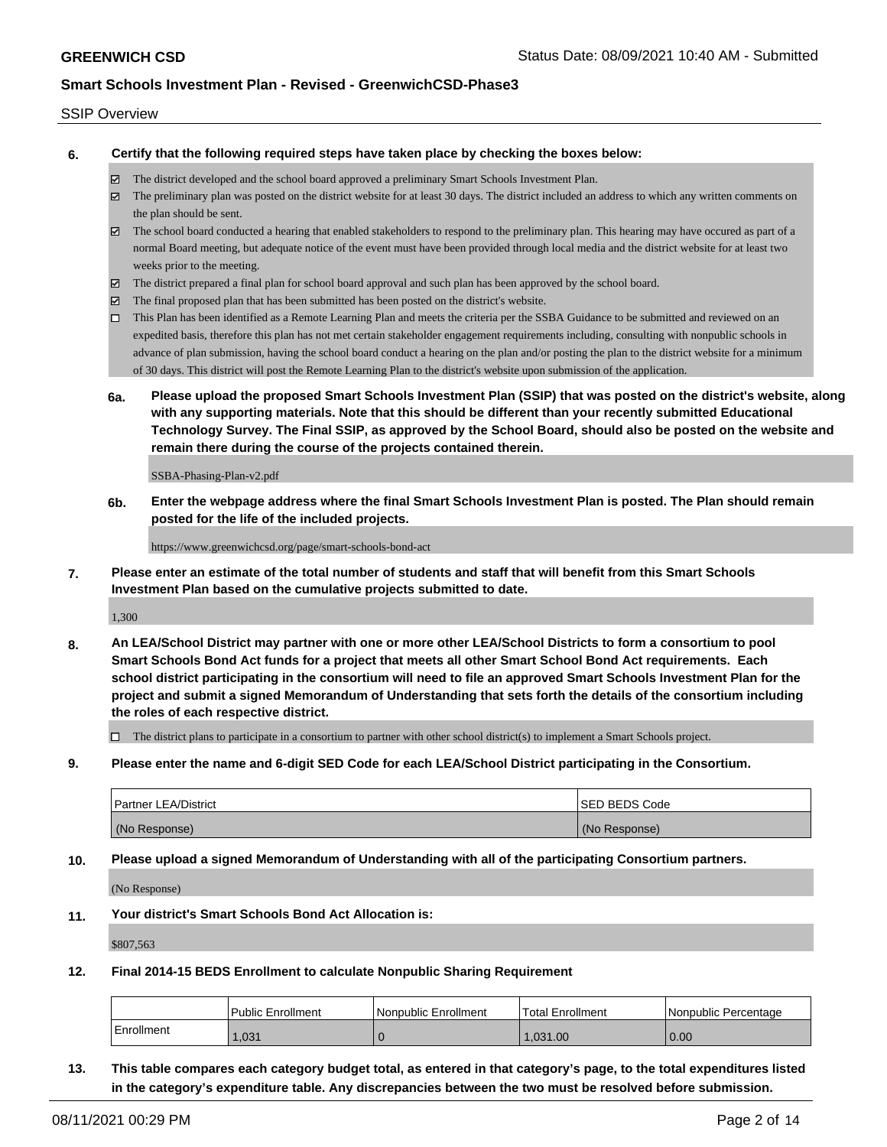### SSIP Overview

**6. Certify that the following required steps have taken place by checking the boxes below:**

- The district developed and the school board approved a preliminary Smart Schools Investment Plan.
- The preliminary plan was posted on the district website for at least 30 days. The district included an address to which any written comments on the plan should be sent.
- $\boxtimes$  The school board conducted a hearing that enabled stakeholders to respond to the preliminary plan. This hearing may have occured as part of a normal Board meeting, but adequate notice of the event must have been provided through local media and the district website for at least two weeks prior to the meeting.
- The district prepared a final plan for school board approval and such plan has been approved by the school board.
- $\boxtimes$  The final proposed plan that has been submitted has been posted on the district's website.
- This Plan has been identified as a Remote Learning Plan and meets the criteria per the SSBA Guidance to be submitted and reviewed on an expedited basis, therefore this plan has not met certain stakeholder engagement requirements including, consulting with nonpublic schools in advance of plan submission, having the school board conduct a hearing on the plan and/or posting the plan to the district website for a minimum of 30 days. This district will post the Remote Learning Plan to the district's website upon submission of the application.
- **6a. Please upload the proposed Smart Schools Investment Plan (SSIP) that was posted on the district's website, along with any supporting materials. Note that this should be different than your recently submitted Educational Technology Survey. The Final SSIP, as approved by the School Board, should also be posted on the website and remain there during the course of the projects contained therein.**

SSBA-Phasing-Plan-v2.pdf

**6b. Enter the webpage address where the final Smart Schools Investment Plan is posted. The Plan should remain posted for the life of the included projects.**

https://www.greenwichcsd.org/page/smart-schools-bond-act

**7. Please enter an estimate of the total number of students and staff that will benefit from this Smart Schools Investment Plan based on the cumulative projects submitted to date.**

1,300

**8. An LEA/School District may partner with one or more other LEA/School Districts to form a consortium to pool Smart Schools Bond Act funds for a project that meets all other Smart School Bond Act requirements. Each school district participating in the consortium will need to file an approved Smart Schools Investment Plan for the project and submit a signed Memorandum of Understanding that sets forth the details of the consortium including the roles of each respective district.**

 $\Box$  The district plans to participate in a consortium to partner with other school district(s) to implement a Smart Schools project.

**9. Please enter the name and 6-digit SED Code for each LEA/School District participating in the Consortium.**

| <b>Partner LEA/District</b> | <b>ISED BEDS Code</b> |
|-----------------------------|-----------------------|
| (No Response)               | (No Response)         |

**10. Please upload a signed Memorandum of Understanding with all of the participating Consortium partners.**

(No Response)

**11. Your district's Smart Schools Bond Act Allocation is:**

\$807,563

**12. Final 2014-15 BEDS Enrollment to calculate Nonpublic Sharing Requirement**

|            | <b>Public Enrollment</b> | Nonpublic Enrollment | Total Enrollment | I Nonpublic Percentage |
|------------|--------------------------|----------------------|------------------|------------------------|
| Enrollment | ,031                     |                      | .031.00          | 0.00                   |

**13. This table compares each category budget total, as entered in that category's page, to the total expenditures listed in the category's expenditure table. Any discrepancies between the two must be resolved before submission.**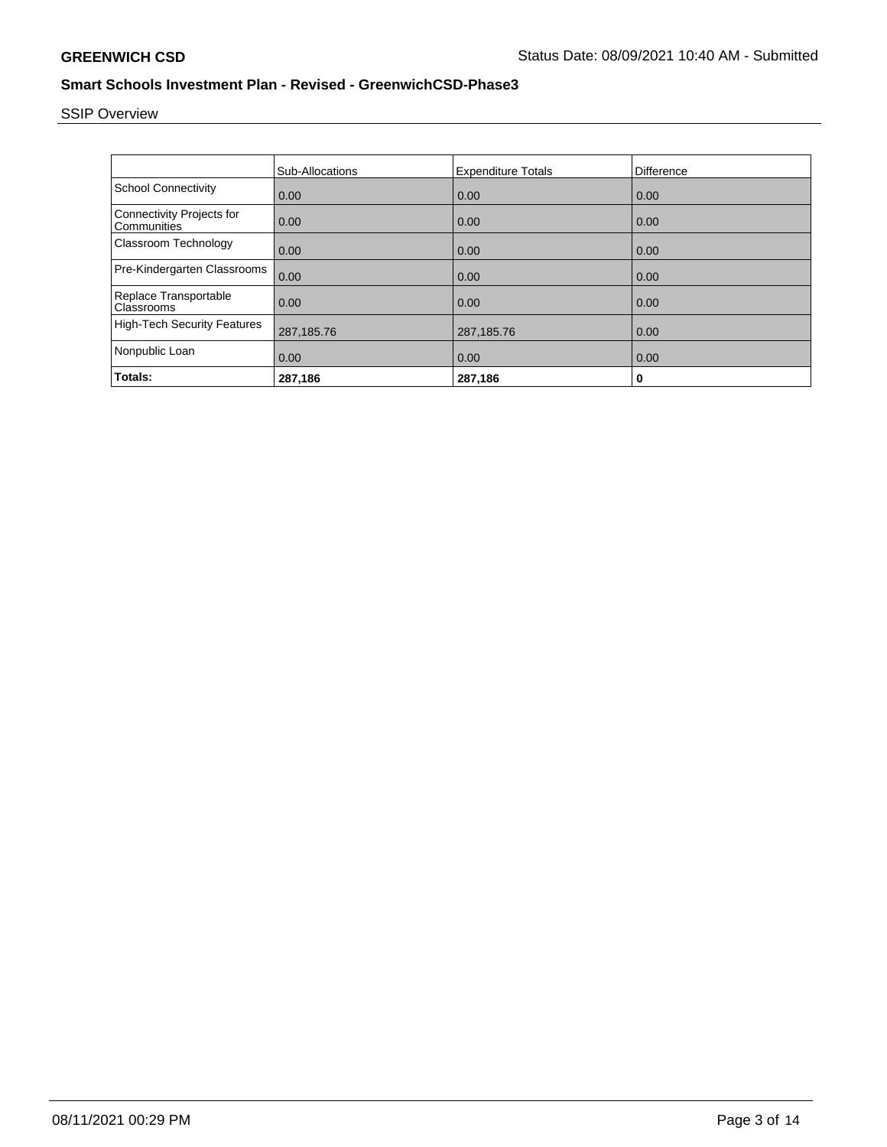# SSIP Overview

|                                                 | Sub-Allocations | <b>Expenditure Totals</b> | Difference |
|-------------------------------------------------|-----------------|---------------------------|------------|
| <b>School Connectivity</b>                      | 0.00            | 0.00                      | 0.00       |
| <b>Connectivity Projects for</b><br>Communities | 0.00            | 0.00                      | 0.00       |
| Classroom Technology                            | 0.00            | 0.00                      | 0.00       |
| Pre-Kindergarten Classrooms                     | 0.00            | 0.00                      | 0.00       |
| Replace Transportable<br>Classrooms             | 0.00            | 0.00                      | 0.00       |
| <b>High-Tech Security Features</b>              | 287,185.76      | 287,185.76                | 0.00       |
| Nonpublic Loan                                  | 0.00            | 0.00                      | 0.00       |
| Totals:                                         | 287,186         | 287,186                   | 0          |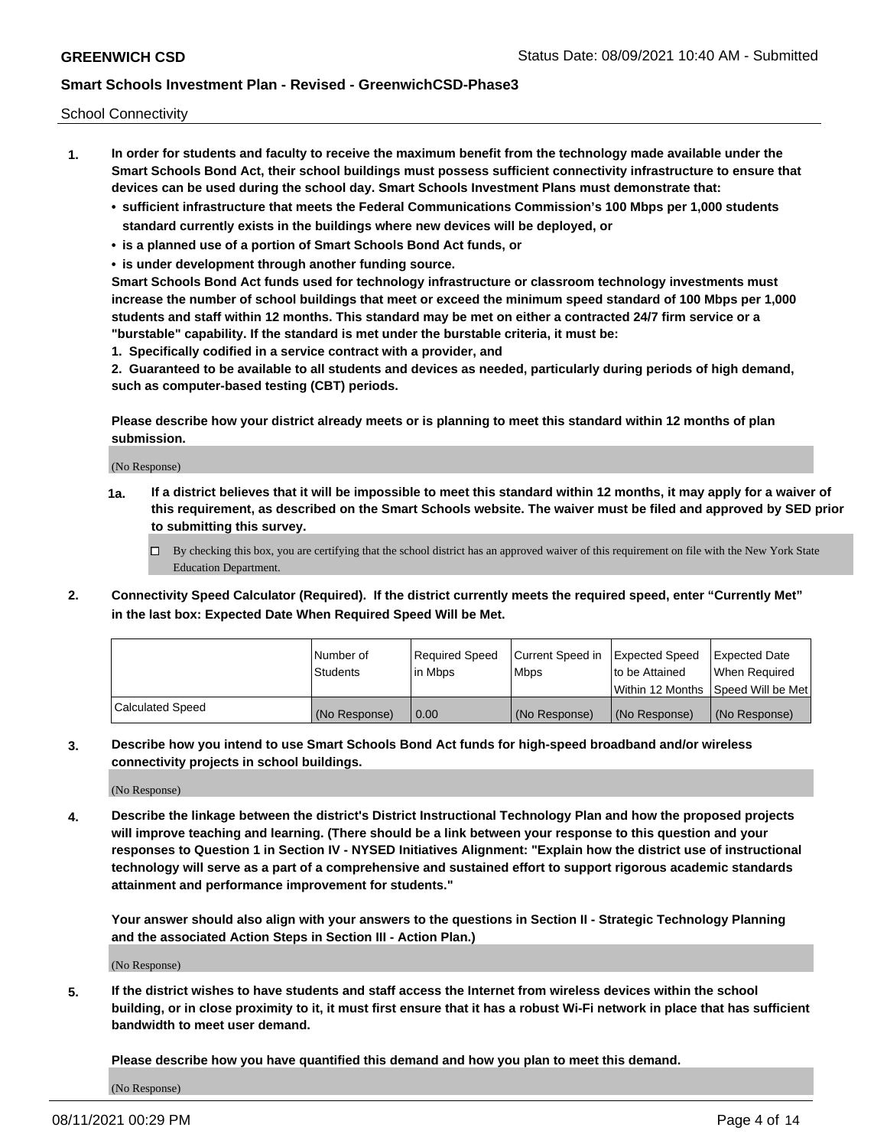School Connectivity

- **1. In order for students and faculty to receive the maximum benefit from the technology made available under the Smart Schools Bond Act, their school buildings must possess sufficient connectivity infrastructure to ensure that devices can be used during the school day. Smart Schools Investment Plans must demonstrate that:**
	- **• sufficient infrastructure that meets the Federal Communications Commission's 100 Mbps per 1,000 students standard currently exists in the buildings where new devices will be deployed, or**
	- **• is a planned use of a portion of Smart Schools Bond Act funds, or**
	- **• is under development through another funding source.**

**Smart Schools Bond Act funds used for technology infrastructure or classroom technology investments must increase the number of school buildings that meet or exceed the minimum speed standard of 100 Mbps per 1,000 students and staff within 12 months. This standard may be met on either a contracted 24/7 firm service or a "burstable" capability. If the standard is met under the burstable criteria, it must be:**

**1. Specifically codified in a service contract with a provider, and**

**2. Guaranteed to be available to all students and devices as needed, particularly during periods of high demand, such as computer-based testing (CBT) periods.**

**Please describe how your district already meets or is planning to meet this standard within 12 months of plan submission.**

(No Response)

**1a. If a district believes that it will be impossible to meet this standard within 12 months, it may apply for a waiver of this requirement, as described on the Smart Schools website. The waiver must be filed and approved by SED prior to submitting this survey.**

 $\Box$  By checking this box, you are certifying that the school district has an approved waiver of this requirement on file with the New York State Education Department.

**2. Connectivity Speed Calculator (Required). If the district currently meets the required speed, enter "Currently Met" in the last box: Expected Date When Required Speed Will be Met.**

|                  | l Number of     | Required Speed | Current Speed in | Expected Speed  | Expected Date                           |
|------------------|-----------------|----------------|------------------|-----------------|-----------------------------------------|
|                  | <b>Students</b> | In Mbps        | l Mbps           | to be Attained  | When Required                           |
|                  |                 |                |                  |                 | l Within 12 Months ISpeed Will be Met l |
| Calculated Speed | (No Response)   | 0.00           | (No Response)    | l (No Response) | l (No Response)                         |

**3. Describe how you intend to use Smart Schools Bond Act funds for high-speed broadband and/or wireless connectivity projects in school buildings.**

(No Response)

**4. Describe the linkage between the district's District Instructional Technology Plan and how the proposed projects will improve teaching and learning. (There should be a link between your response to this question and your responses to Question 1 in Section IV - NYSED Initiatives Alignment: "Explain how the district use of instructional technology will serve as a part of a comprehensive and sustained effort to support rigorous academic standards attainment and performance improvement for students."** 

**Your answer should also align with your answers to the questions in Section II - Strategic Technology Planning and the associated Action Steps in Section III - Action Plan.)**

(No Response)

**5. If the district wishes to have students and staff access the Internet from wireless devices within the school building, or in close proximity to it, it must first ensure that it has a robust Wi-Fi network in place that has sufficient bandwidth to meet user demand.**

**Please describe how you have quantified this demand and how you plan to meet this demand.**

(No Response)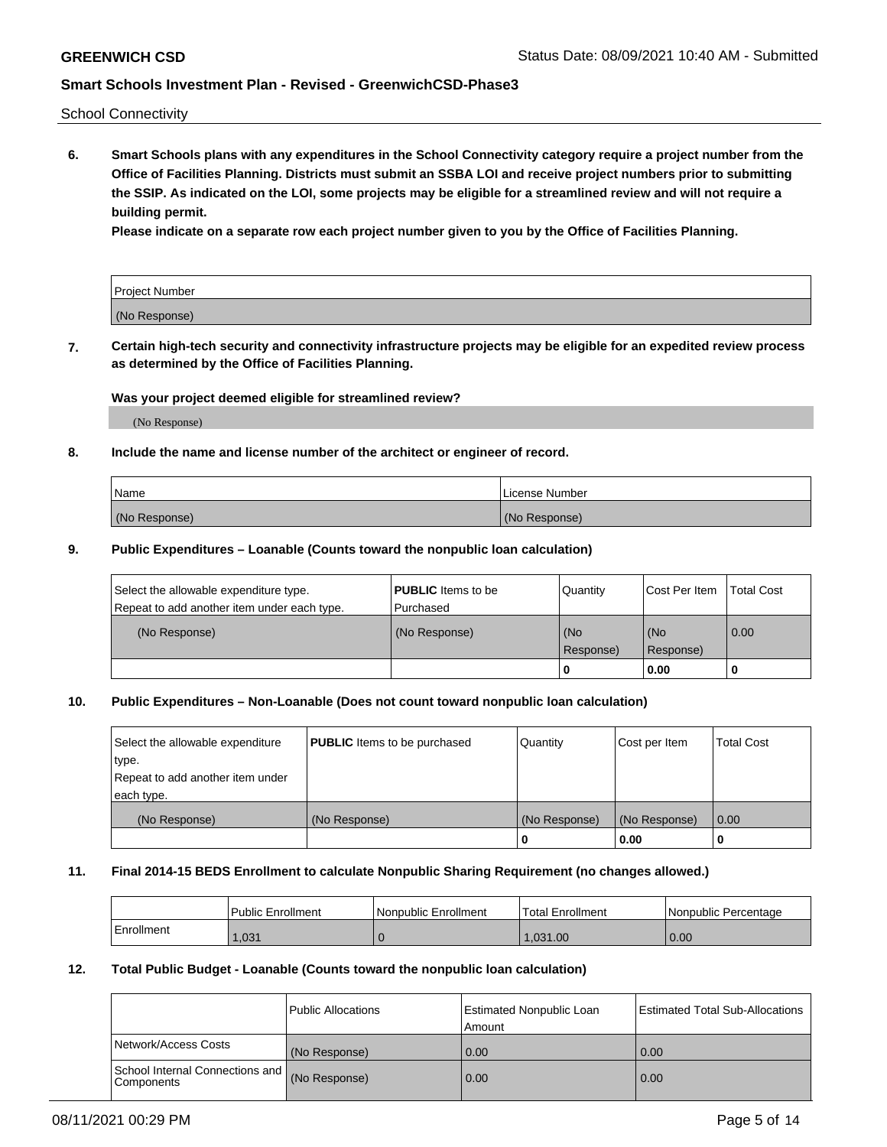School Connectivity

**6. Smart Schools plans with any expenditures in the School Connectivity category require a project number from the Office of Facilities Planning. Districts must submit an SSBA LOI and receive project numbers prior to submitting the SSIP. As indicated on the LOI, some projects may be eligible for a streamlined review and will not require a building permit.**

**Please indicate on a separate row each project number given to you by the Office of Facilities Planning.**

| Project Number |  |
|----------------|--|
| (No Response)  |  |

**7. Certain high-tech security and connectivity infrastructure projects may be eligible for an expedited review process as determined by the Office of Facilities Planning.**

### **Was your project deemed eligible for streamlined review?**

(No Response)

### **8. Include the name and license number of the architect or engineer of record.**

| Name          | License Number |
|---------------|----------------|
| (No Response) | (No Response)  |

### **9. Public Expenditures – Loanable (Counts toward the nonpublic loan calculation)**

| Select the allowable expenditure type.<br>Repeat to add another item under each type. | <b>PUBLIC</b> Items to be<br>l Purchased | Quantity         | l Cost Per Item  | <b>Total Cost</b> |
|---------------------------------------------------------------------------------------|------------------------------------------|------------------|------------------|-------------------|
| (No Response)                                                                         | (No Response)                            | (No<br>Response) | (No<br>Response) | 0.00              |
|                                                                                       |                                          | 0                | 0.00             |                   |

### **10. Public Expenditures – Non-Loanable (Does not count toward nonpublic loan calculation)**

| Select the allowable expenditure<br>type.      | <b>PUBLIC</b> Items to be purchased | Quantity      | Cost per Item | <b>Total Cost</b> |
|------------------------------------------------|-------------------------------------|---------------|---------------|-------------------|
| Repeat to add another item under<br>each type. |                                     |               |               |                   |
| (No Response)                                  | (No Response)                       | (No Response) | (No Response) | 0.00              |
|                                                |                                     |               | 0.00          |                   |

#### **11. Final 2014-15 BEDS Enrollment to calculate Nonpublic Sharing Requirement (no changes allowed.)**

|            | Public Enrollment | Nonpublic Enrollment | 'Total Enrollment | l Nonpublic Percentage |
|------------|-------------------|----------------------|-------------------|------------------------|
| Enrollment | .031              |                      | 1.031.00          | 0.00                   |

### **12. Total Public Budget - Loanable (Counts toward the nonpublic loan calculation)**

|                                                      | Public Allocations | <b>Estimated Nonpublic Loan</b><br>Amount | Estimated Total Sub-Allocations |
|------------------------------------------------------|--------------------|-------------------------------------------|---------------------------------|
| Network/Access Costs                                 | (No Response)      | 0.00                                      | 0.00                            |
| School Internal Connections and<br><b>Components</b> | (No Response)      | 0.00                                      | 0.00                            |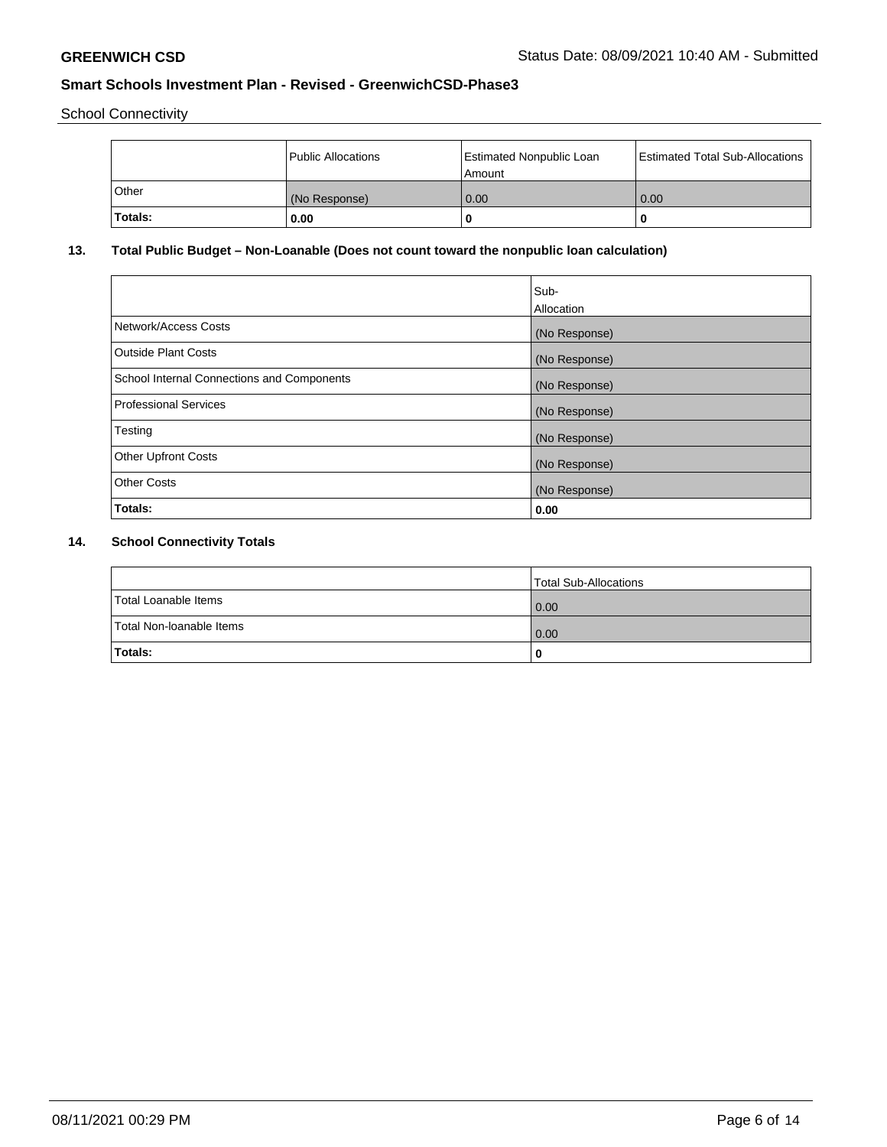School Connectivity

|         | Public Allocations | <b>Estimated Nonpublic Loan</b><br>l Amount | <b>Estimated Total Sub-Allocations</b> |
|---------|--------------------|---------------------------------------------|----------------------------------------|
| l Other | (No Response)      | 0.00                                        | 0.00                                   |
| Totals: | 0.00               | 0                                           |                                        |

## **13. Total Public Budget – Non-Loanable (Does not count toward the nonpublic loan calculation)**

|                                                   | Sub-<br>Allocation |
|---------------------------------------------------|--------------------|
|                                                   |                    |
| Network/Access Costs                              | (No Response)      |
| <b>Outside Plant Costs</b>                        | (No Response)      |
| <b>School Internal Connections and Components</b> | (No Response)      |
| Professional Services                             | (No Response)      |
| Testing                                           | (No Response)      |
| <b>Other Upfront Costs</b>                        | (No Response)      |
| <b>Other Costs</b>                                | (No Response)      |
| <b>Totals:</b>                                    | 0.00               |

## **14. School Connectivity Totals**

|                          | Total Sub-Allocations |
|--------------------------|-----------------------|
| Total Loanable Items     | 0.00                  |
| Total Non-Ioanable Items | 0.00                  |
| Totals:                  | 0                     |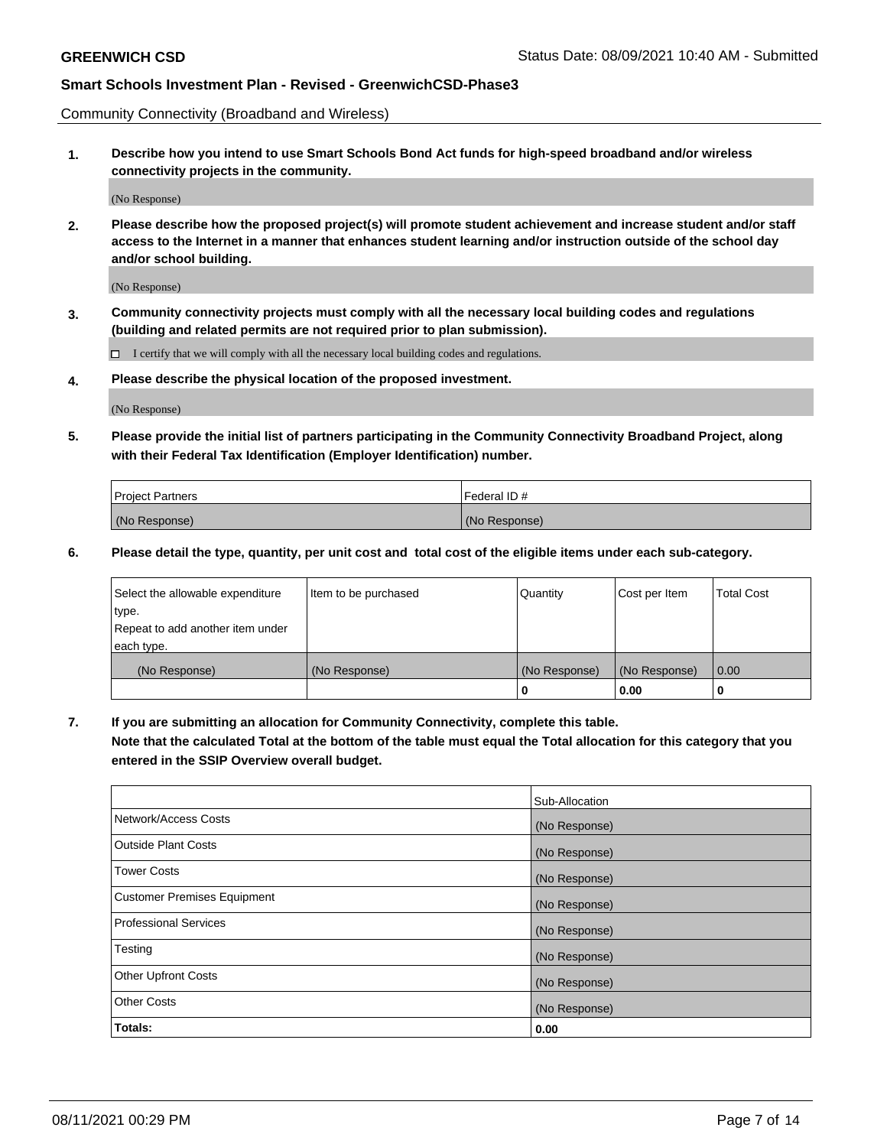Community Connectivity (Broadband and Wireless)

**1. Describe how you intend to use Smart Schools Bond Act funds for high-speed broadband and/or wireless connectivity projects in the community.**

(No Response)

**2. Please describe how the proposed project(s) will promote student achievement and increase student and/or staff access to the Internet in a manner that enhances student learning and/or instruction outside of the school day and/or school building.**

(No Response)

**3. Community connectivity projects must comply with all the necessary local building codes and regulations (building and related permits are not required prior to plan submission).**

 $\Box$  I certify that we will comply with all the necessary local building codes and regulations.

**4. Please describe the physical location of the proposed investment.**

(No Response)

**5. Please provide the initial list of partners participating in the Community Connectivity Broadband Project, along with their Federal Tax Identification (Employer Identification) number.**

| <b>Project Partners</b> | l Federal ID # |
|-------------------------|----------------|
| (No Response)           | (No Response)  |

**6. Please detail the type, quantity, per unit cost and total cost of the eligible items under each sub-category.**

| Select the allowable expenditure | Item to be purchased | Quantity      | Cost per Item | <b>Total Cost</b> |
|----------------------------------|----------------------|---------------|---------------|-------------------|
| type.                            |                      |               |               |                   |
| Repeat to add another item under |                      |               |               |                   |
| each type.                       |                      |               |               |                   |
| (No Response)                    | (No Response)        | (No Response) | (No Response) | 0.00              |
|                                  |                      | o             | 0.00          |                   |

**7. If you are submitting an allocation for Community Connectivity, complete this table.**

**Note that the calculated Total at the bottom of the table must equal the Total allocation for this category that you entered in the SSIP Overview overall budget.**

|                                    | Sub-Allocation |
|------------------------------------|----------------|
| Network/Access Costs               | (No Response)  |
| <b>Outside Plant Costs</b>         | (No Response)  |
| <b>Tower Costs</b>                 | (No Response)  |
| <b>Customer Premises Equipment</b> | (No Response)  |
| <b>Professional Services</b>       | (No Response)  |
| Testing                            | (No Response)  |
| <b>Other Upfront Costs</b>         | (No Response)  |
| <b>Other Costs</b>                 | (No Response)  |
| Totals:                            | 0.00           |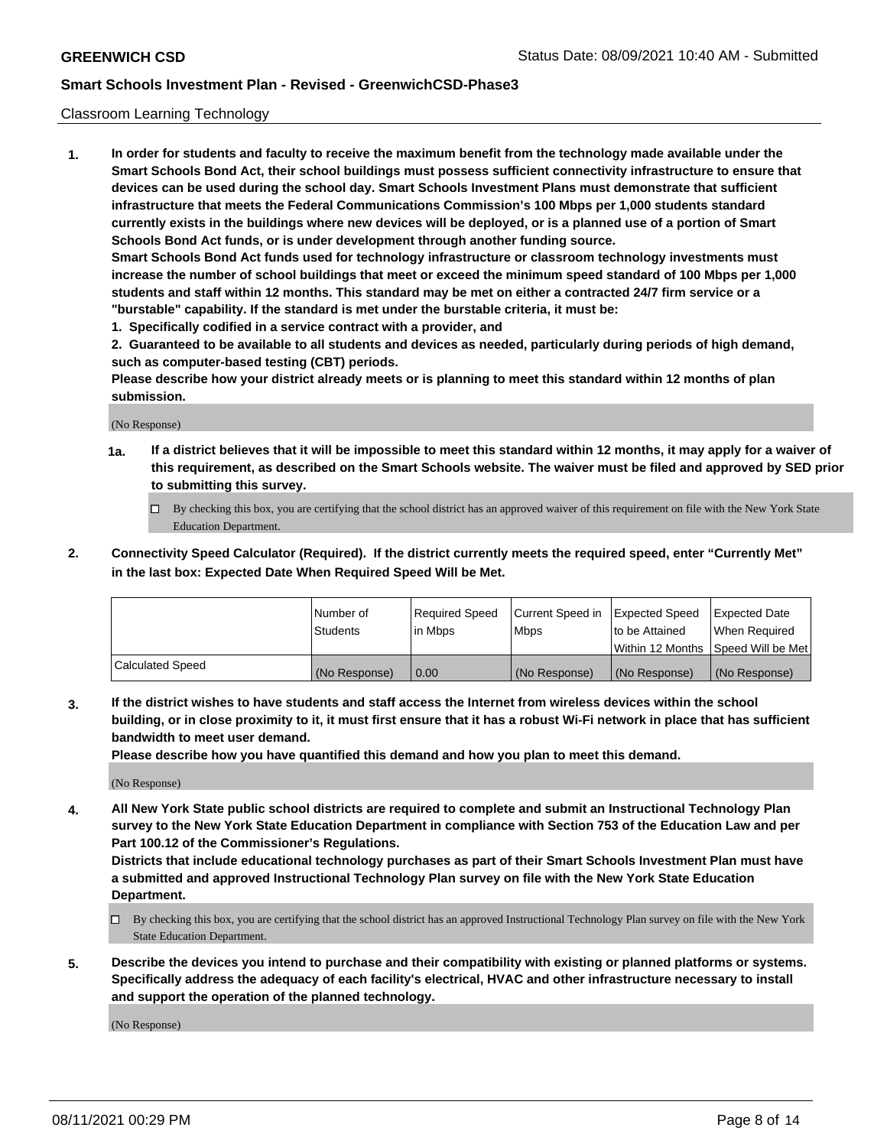### Classroom Learning Technology

**1. In order for students and faculty to receive the maximum benefit from the technology made available under the Smart Schools Bond Act, their school buildings must possess sufficient connectivity infrastructure to ensure that devices can be used during the school day. Smart Schools Investment Plans must demonstrate that sufficient infrastructure that meets the Federal Communications Commission's 100 Mbps per 1,000 students standard currently exists in the buildings where new devices will be deployed, or is a planned use of a portion of Smart Schools Bond Act funds, or is under development through another funding source. Smart Schools Bond Act funds used for technology infrastructure or classroom technology investments must increase the number of school buildings that meet or exceed the minimum speed standard of 100 Mbps per 1,000 students and staff within 12 months. This standard may be met on either a contracted 24/7 firm service or a "burstable" capability. If the standard is met under the burstable criteria, it must be:**

**1. Specifically codified in a service contract with a provider, and**

**2. Guaranteed to be available to all students and devices as needed, particularly during periods of high demand, such as computer-based testing (CBT) periods.**

**Please describe how your district already meets or is planning to meet this standard within 12 months of plan submission.**

(No Response)

- **1a. If a district believes that it will be impossible to meet this standard within 12 months, it may apply for a waiver of this requirement, as described on the Smart Schools website. The waiver must be filed and approved by SED prior to submitting this survey.**
	- By checking this box, you are certifying that the school district has an approved waiver of this requirement on file with the New York State Education Department.
- **2. Connectivity Speed Calculator (Required). If the district currently meets the required speed, enter "Currently Met" in the last box: Expected Date When Required Speed Will be Met.**

|                  | l Number of     | Required Speed | Current Speed in | <b>Expected Speed</b> | <b>Expected Date</b>                |
|------------------|-----------------|----------------|------------------|-----------------------|-------------------------------------|
|                  | <b>Students</b> | l in Mbps      | l Mbps           | to be Attained        | When Required                       |
|                  |                 |                |                  |                       | Within 12 Months  Speed Will be Met |
| Calculated Speed | (No Response)   | 0.00           | (No Response)    | l (No Response)       | (No Response)                       |

**3. If the district wishes to have students and staff access the Internet from wireless devices within the school building, or in close proximity to it, it must first ensure that it has a robust Wi-Fi network in place that has sufficient bandwidth to meet user demand.**

**Please describe how you have quantified this demand and how you plan to meet this demand.**

(No Response)

**4. All New York State public school districts are required to complete and submit an Instructional Technology Plan survey to the New York State Education Department in compliance with Section 753 of the Education Law and per Part 100.12 of the Commissioner's Regulations.**

**Districts that include educational technology purchases as part of their Smart Schools Investment Plan must have a submitted and approved Instructional Technology Plan survey on file with the New York State Education Department.**

- By checking this box, you are certifying that the school district has an approved Instructional Technology Plan survey on file with the New York State Education Department.
- **5. Describe the devices you intend to purchase and their compatibility with existing or planned platforms or systems. Specifically address the adequacy of each facility's electrical, HVAC and other infrastructure necessary to install and support the operation of the planned technology.**

(No Response)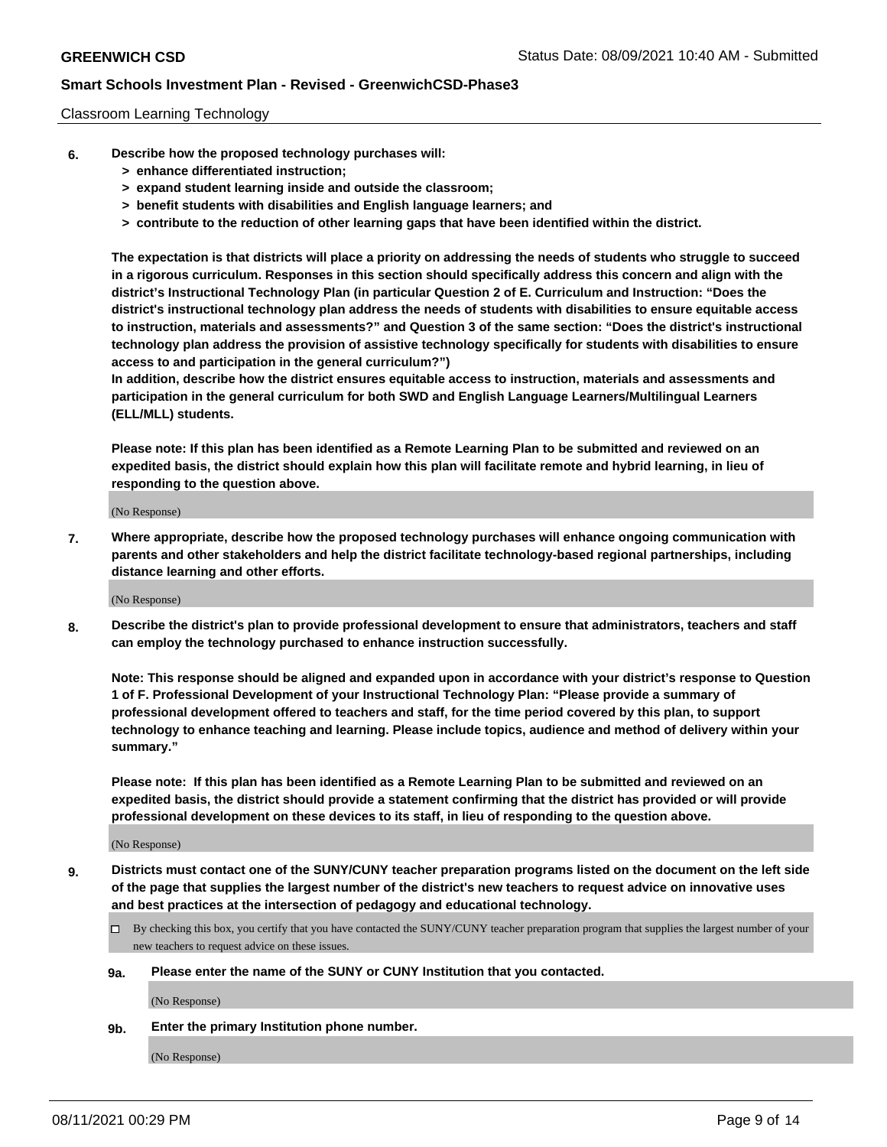### Classroom Learning Technology

- **6. Describe how the proposed technology purchases will:**
	- **> enhance differentiated instruction;**
	- **> expand student learning inside and outside the classroom;**
	- **> benefit students with disabilities and English language learners; and**
	- **> contribute to the reduction of other learning gaps that have been identified within the district.**

**The expectation is that districts will place a priority on addressing the needs of students who struggle to succeed in a rigorous curriculum. Responses in this section should specifically address this concern and align with the district's Instructional Technology Plan (in particular Question 2 of E. Curriculum and Instruction: "Does the district's instructional technology plan address the needs of students with disabilities to ensure equitable access to instruction, materials and assessments?" and Question 3 of the same section: "Does the district's instructional technology plan address the provision of assistive technology specifically for students with disabilities to ensure access to and participation in the general curriculum?")**

**In addition, describe how the district ensures equitable access to instruction, materials and assessments and participation in the general curriculum for both SWD and English Language Learners/Multilingual Learners (ELL/MLL) students.**

**Please note: If this plan has been identified as a Remote Learning Plan to be submitted and reviewed on an expedited basis, the district should explain how this plan will facilitate remote and hybrid learning, in lieu of responding to the question above.**

(No Response)

**7. Where appropriate, describe how the proposed technology purchases will enhance ongoing communication with parents and other stakeholders and help the district facilitate technology-based regional partnerships, including distance learning and other efforts.**

(No Response)

**8. Describe the district's plan to provide professional development to ensure that administrators, teachers and staff can employ the technology purchased to enhance instruction successfully.**

**Note: This response should be aligned and expanded upon in accordance with your district's response to Question 1 of F. Professional Development of your Instructional Technology Plan: "Please provide a summary of professional development offered to teachers and staff, for the time period covered by this plan, to support technology to enhance teaching and learning. Please include topics, audience and method of delivery within your summary."**

**Please note: If this plan has been identified as a Remote Learning Plan to be submitted and reviewed on an expedited basis, the district should provide a statement confirming that the district has provided or will provide professional development on these devices to its staff, in lieu of responding to the question above.**

(No Response)

- **9. Districts must contact one of the SUNY/CUNY teacher preparation programs listed on the document on the left side of the page that supplies the largest number of the district's new teachers to request advice on innovative uses and best practices at the intersection of pedagogy and educational technology.**
	- By checking this box, you certify that you have contacted the SUNY/CUNY teacher preparation program that supplies the largest number of your new teachers to request advice on these issues.

### **9a. Please enter the name of the SUNY or CUNY Institution that you contacted.**

(No Response)

**9b. Enter the primary Institution phone number.**

(No Response)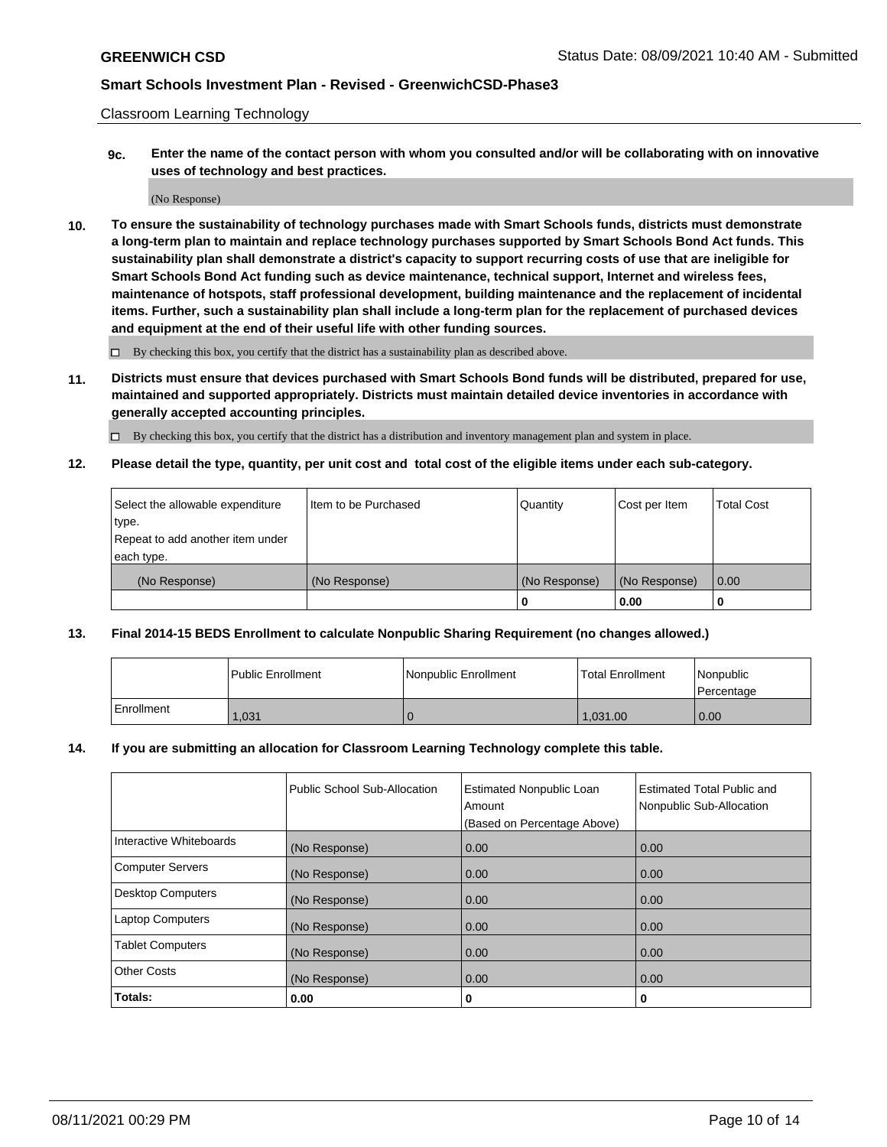Classroom Learning Technology

**9c. Enter the name of the contact person with whom you consulted and/or will be collaborating with on innovative uses of technology and best practices.**

(No Response)

**10. To ensure the sustainability of technology purchases made with Smart Schools funds, districts must demonstrate a long-term plan to maintain and replace technology purchases supported by Smart Schools Bond Act funds. This sustainability plan shall demonstrate a district's capacity to support recurring costs of use that are ineligible for Smart Schools Bond Act funding such as device maintenance, technical support, Internet and wireless fees, maintenance of hotspots, staff professional development, building maintenance and the replacement of incidental items. Further, such a sustainability plan shall include a long-term plan for the replacement of purchased devices and equipment at the end of their useful life with other funding sources.**

 $\square$  By checking this box, you certify that the district has a sustainability plan as described above.

**11. Districts must ensure that devices purchased with Smart Schools Bond funds will be distributed, prepared for use, maintained and supported appropriately. Districts must maintain detailed device inventories in accordance with generally accepted accounting principles.**

By checking this box, you certify that the district has a distribution and inventory management plan and system in place.

**12. Please detail the type, quantity, per unit cost and total cost of the eligible items under each sub-category.**

| Select the allowable expenditure | Item to be Purchased | Quantity      | Cost per Item | <b>Total Cost</b> |
|----------------------------------|----------------------|---------------|---------------|-------------------|
| type.                            |                      |               |               |                   |
| Repeat to add another item under |                      |               |               |                   |
| each type.                       |                      |               |               |                   |
| (No Response)                    | (No Response)        | (No Response) | (No Response) | $\overline{0.00}$ |
|                                  |                      |               | 0.00          |                   |

### **13. Final 2014-15 BEDS Enrollment to calculate Nonpublic Sharing Requirement (no changes allowed.)**

|              | l Public Enrollment | Nonpublic Enrollment | <b>Total Enrollment</b> | <i>Nonpublic</i><br>l Percentage |
|--------------|---------------------|----------------------|-------------------------|----------------------------------|
| l Enrollment | 1,031               |                      | 1.031.00                | 0.00                             |

### **14. If you are submitting an allocation for Classroom Learning Technology complete this table.**

|                          | Public School Sub-Allocation | <b>Estimated Nonpublic Loan</b><br>Amount | Estimated Total Public and<br>Nonpublic Sub-Allocation |
|--------------------------|------------------------------|-------------------------------------------|--------------------------------------------------------|
|                          |                              | (Based on Percentage Above)               |                                                        |
| Interactive Whiteboards  | (No Response)                | 0.00                                      | 0.00                                                   |
| <b>Computer Servers</b>  | (No Response)                | 0.00                                      | 0.00                                                   |
| <b>Desktop Computers</b> | (No Response)                | 0.00                                      | 0.00                                                   |
| <b>Laptop Computers</b>  | (No Response)                | 0.00                                      | 0.00                                                   |
| <b>Tablet Computers</b>  | (No Response)                | 0.00                                      | 0.00                                                   |
| <b>Other Costs</b>       | (No Response)                | 0.00                                      | 0.00                                                   |
| Totals:                  | 0.00                         | 0                                         | 0                                                      |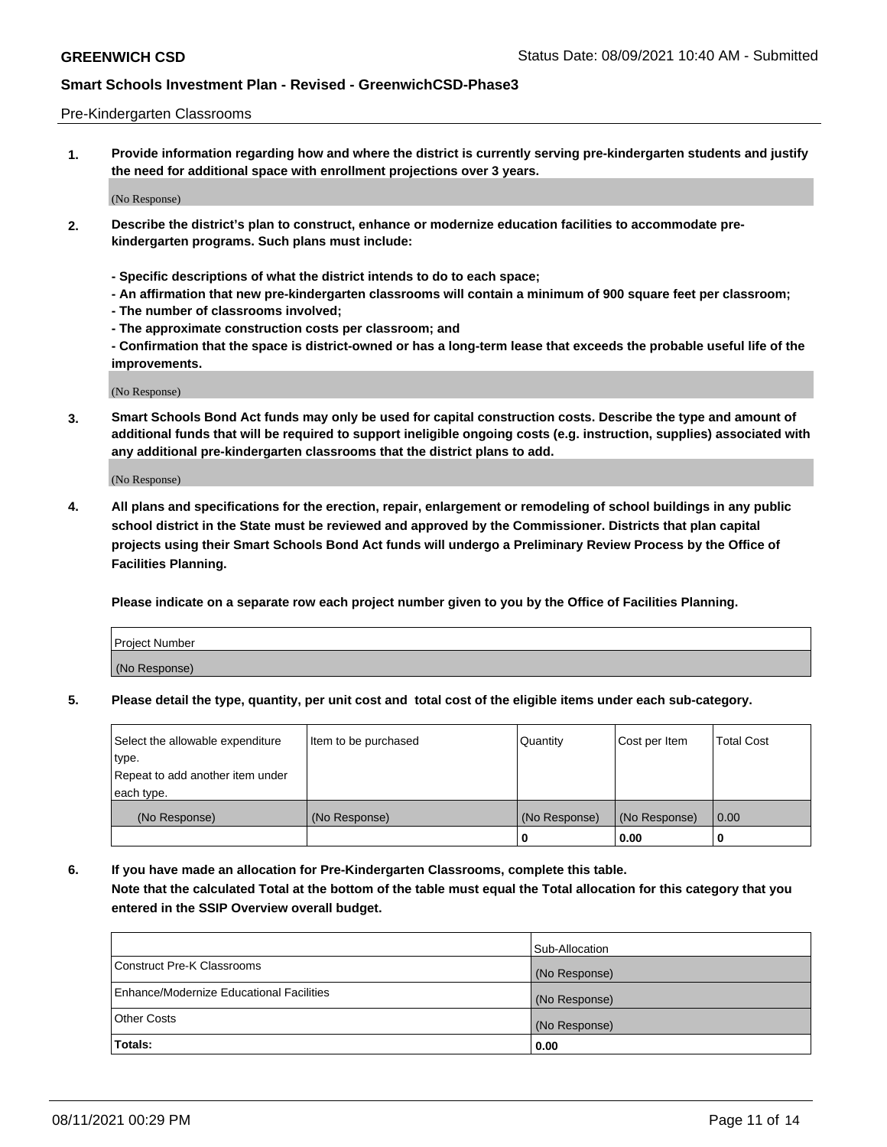#### Pre-Kindergarten Classrooms

**1. Provide information regarding how and where the district is currently serving pre-kindergarten students and justify the need for additional space with enrollment projections over 3 years.**

(No Response)

- **2. Describe the district's plan to construct, enhance or modernize education facilities to accommodate prekindergarten programs. Such plans must include:**
	- **Specific descriptions of what the district intends to do to each space;**
	- **An affirmation that new pre-kindergarten classrooms will contain a minimum of 900 square feet per classroom;**
	- **The number of classrooms involved;**
	- **The approximate construction costs per classroom; and**
	- **Confirmation that the space is district-owned or has a long-term lease that exceeds the probable useful life of the improvements.**

(No Response)

**3. Smart Schools Bond Act funds may only be used for capital construction costs. Describe the type and amount of additional funds that will be required to support ineligible ongoing costs (e.g. instruction, supplies) associated with any additional pre-kindergarten classrooms that the district plans to add.**

(No Response)

**4. All plans and specifications for the erection, repair, enlargement or remodeling of school buildings in any public school district in the State must be reviewed and approved by the Commissioner. Districts that plan capital projects using their Smart Schools Bond Act funds will undergo a Preliminary Review Process by the Office of Facilities Planning.**

**Please indicate on a separate row each project number given to you by the Office of Facilities Planning.**

| Project Number |  |
|----------------|--|
| (No Response)  |  |
|                |  |

**5. Please detail the type, quantity, per unit cost and total cost of the eligible items under each sub-category.**

| Select the allowable expenditure | Item to be purchased | Quantity      | Cost per Item | <b>Total Cost</b> |
|----------------------------------|----------------------|---------------|---------------|-------------------|
| type.                            |                      |               |               |                   |
| Repeat to add another item under |                      |               |               |                   |
| each type.                       |                      |               |               |                   |
| (No Response)                    | (No Response)        | (No Response) | (No Response) | 0.00              |
|                                  |                      | υ             | 0.00          |                   |

**6. If you have made an allocation for Pre-Kindergarten Classrooms, complete this table. Note that the calculated Total at the bottom of the table must equal the Total allocation for this category that you entered in the SSIP Overview overall budget.**

|                                          | Sub-Allocation |
|------------------------------------------|----------------|
| Construct Pre-K Classrooms               | (No Response)  |
| Enhance/Modernize Educational Facilities | (No Response)  |
| <b>Other Costs</b>                       | (No Response)  |
| Totals:                                  | 0.00           |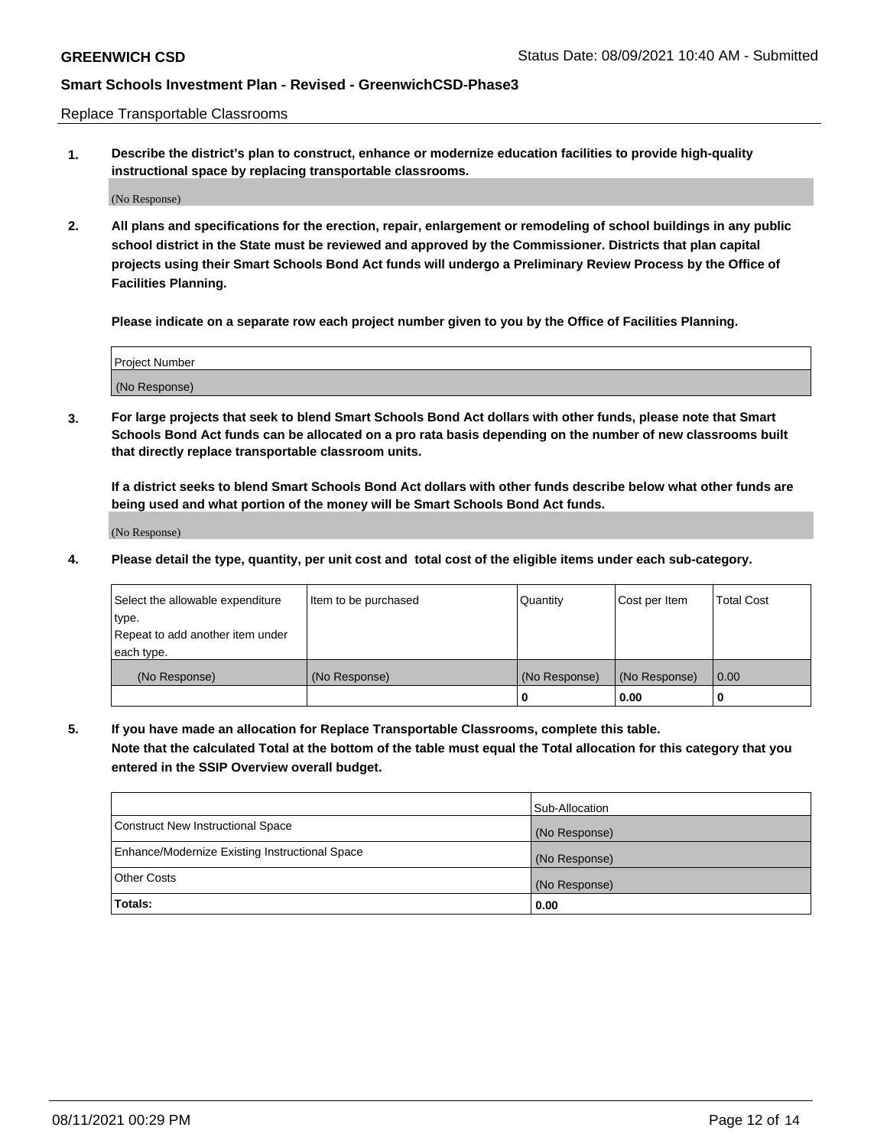Replace Transportable Classrooms

**1. Describe the district's plan to construct, enhance or modernize education facilities to provide high-quality instructional space by replacing transportable classrooms.**

(No Response)

**2. All plans and specifications for the erection, repair, enlargement or remodeling of school buildings in any public school district in the State must be reviewed and approved by the Commissioner. Districts that plan capital projects using their Smart Schools Bond Act funds will undergo a Preliminary Review Process by the Office of Facilities Planning.**

**Please indicate on a separate row each project number given to you by the Office of Facilities Planning.**

| Project Number |  |
|----------------|--|
|                |  |
|                |  |
|                |  |
|                |  |
| (No Response)  |  |
|                |  |
|                |  |
|                |  |

**3. For large projects that seek to blend Smart Schools Bond Act dollars with other funds, please note that Smart Schools Bond Act funds can be allocated on a pro rata basis depending on the number of new classrooms built that directly replace transportable classroom units.**

**If a district seeks to blend Smart Schools Bond Act dollars with other funds describe below what other funds are being used and what portion of the money will be Smart Schools Bond Act funds.**

(No Response)

**4. Please detail the type, quantity, per unit cost and total cost of the eligible items under each sub-category.**

| Select the allowable expenditure<br>∣type.     | Item to be purchased | Quantity      | Cost per Item | Total Cost |
|------------------------------------------------|----------------------|---------------|---------------|------------|
| Repeat to add another item under<br>each type. |                      |               |               |            |
| (No Response)                                  | (No Response)        | (No Response) | (No Response) | 0.00       |
|                                                |                      | u             | 0.00          |            |

**5. If you have made an allocation for Replace Transportable Classrooms, complete this table. Note that the calculated Total at the bottom of the table must equal the Total allocation for this category that you entered in the SSIP Overview overall budget.**

|                                                | Sub-Allocation |
|------------------------------------------------|----------------|
| Construct New Instructional Space              | (No Response)  |
| Enhance/Modernize Existing Instructional Space | (No Response)  |
| Other Costs                                    | (No Response)  |
| Totals:                                        | 0.00           |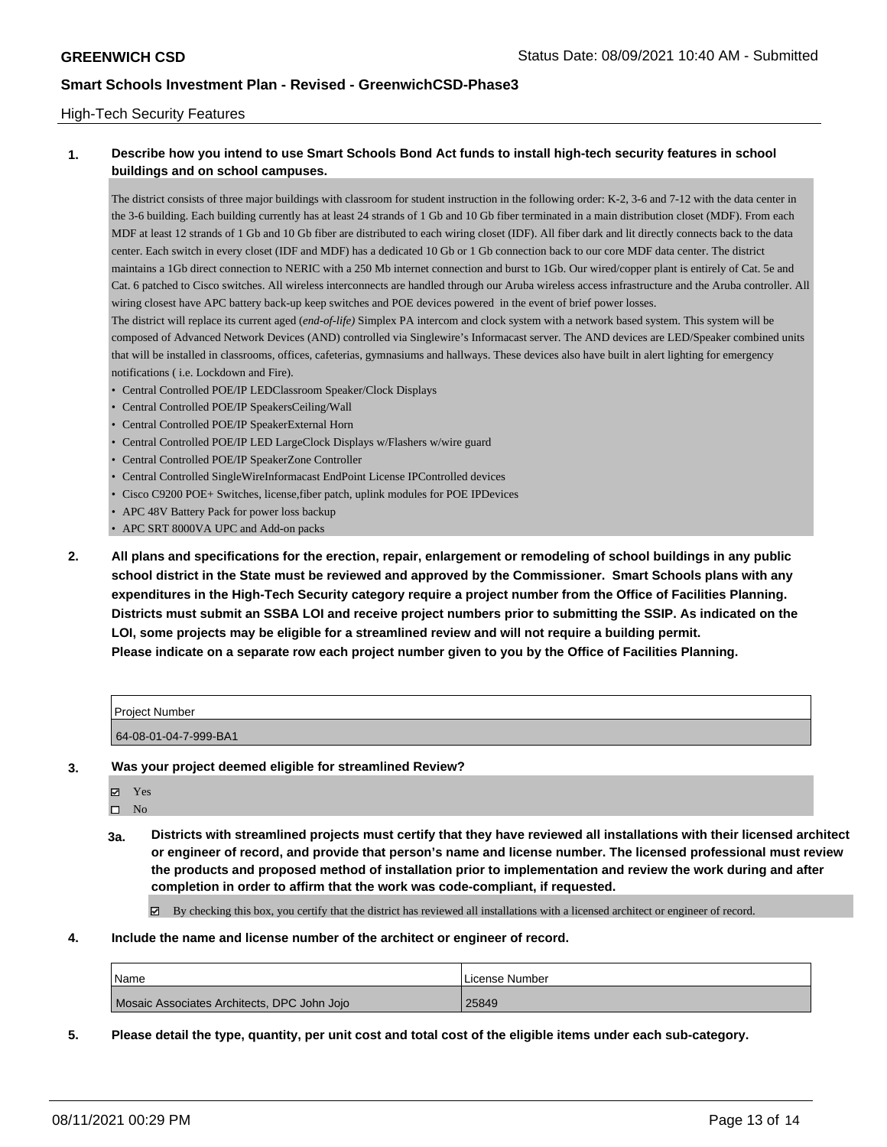### High-Tech Security Features

## **1. Describe how you intend to use Smart Schools Bond Act funds to install high-tech security features in school buildings and on school campuses.**

The district consists of three major buildings with classroom for student instruction in the following order: K-2, 3-6 and 7-12 with the data center in the 3-6 building. Each building currently has at least 24 strands of 1 Gb and 10 Gb fiber terminated in a main distribution closet (MDF). From each MDF at least 12 strands of 1 Gb and 10 Gb fiber are distributed to each wiring closet (IDF). All fiber dark and lit directly connects back to the data center. Each switch in every closet (IDF and MDF) has a dedicated 10 Gb or 1 Gb connection back to our core MDF data center. The district maintains a 1Gb direct connection to NERIC with a 250 Mb internet connection and burst to 1Gb. Our wired/copper plant is entirely of Cat. 5e and Cat. 6 patched to Cisco switches. All wireless interconnects are handled through our Aruba wireless access infrastructure and the Aruba controller. All wiring closest have APC battery back-up keep switches and POE devices powered in the event of brief power losses.

The district will replace its current aged (*end-of-life)* Simplex PA intercom and clock system with a network based system. This system will be composed of Advanced Network Devices (AND) controlled via Singlewire's Informacast server. The AND devices are LED/Speaker combined units that will be installed in classrooms, offices, cafeterias, gymnasiums and hallways. These devices also have built in alert lighting for emergency notifications ( i.e. Lockdown and Fire).

- Central Controlled POE/IP LEDClassroom Speaker/Clock Displays
- Central Controlled POE/IP SpeakersCeiling/Wall
- Central Controlled POE/IP SpeakerExternal Horn
- Central Controlled POE/IP LED LargeClock Displays w/Flashers w/wire guard
- Central Controlled POE/IP SpeakerZone Controller
- Central Controlled SingleWireInformacast EndPoint License IPControlled devices
- Cisco C9200 POE+ Switches, license,fiber patch, uplink modules for POE IPDevices
- APC 48V Battery Pack for power loss backup
- APC SRT 8000VA UPC and Add-on packs
- **2. All plans and specifications for the erection, repair, enlargement or remodeling of school buildings in any public school district in the State must be reviewed and approved by the Commissioner. Smart Schools plans with any expenditures in the High-Tech Security category require a project number from the Office of Facilities Planning. Districts must submit an SSBA LOI and receive project numbers prior to submitting the SSIP. As indicated on the LOI, some projects may be eligible for a streamlined review and will not require a building permit. Please indicate on a separate row each project number given to you by the Office of Facilities Planning.**

| <b>Project Number</b> |  |
|-----------------------|--|
| 64-08-01-04-7-999-BA1 |  |

**3. Was your project deemed eligible for streamlined Review?**

Yes

 $\square$  No

**3a. Districts with streamlined projects must certify that they have reviewed all installations with their licensed architect or engineer of record, and provide that person's name and license number. The licensed professional must review the products and proposed method of installation prior to implementation and review the work during and after completion in order to affirm that the work was code-compliant, if requested.**

By checking this box, you certify that the district has reviewed all installations with a licensed architect or engineer of record.

**4. Include the name and license number of the architect or engineer of record.**

| <b>Name</b>                                 | License Number |
|---------------------------------------------|----------------|
| Mosaic Associates Architects, DPC John Jojo | 25849          |

**5. Please detail the type, quantity, per unit cost and total cost of the eligible items under each sub-category.**